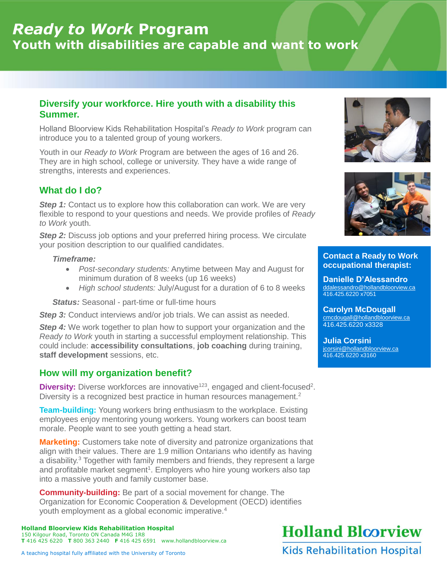# *Ready to Work* **Program Youth with disabilities are capable and want to work**

### **Diversify your workforce. Hire youth with a disability this Summer.**

Holland Bloorview Kids Rehabilitation Hospital's *Ready to Work* program can introduce you to a talented group of young workers.

Youth in our *Ready to Work* Program are between the ages of 16 and 26. They are in high school, college or university. They have a wide range of strengths, interests and experiences.

## **What do I do?**

**Step 1:** Contact us to explore how this collaboration can work. We are very flexible to respond to your questions and needs. We provide profiles of *Ready to Work* youth.

**Step 2:** Discuss job options and your preferred hiring process. We circulate your position description to our qualified candidates.

#### *Timeframe:*

- *Post-secondary students:* Anytime between May and August for minimum duration of 8 weeks (up 16 weeks)
- *High school students:* July/August for a duration of 6 to 8 weeks

**Status:** Seasonal - part-time or full-time hours

**Step 3:** Conduct interviews and/or job trials. We can assist as needed.

**Step 4:** We work together to plan how to support your organization and the *Ready to Work* youth in starting a successful employment relationship. This could include: **accessibility consultations**, **job coaching** during training, **staff development** sessions, etc.

### **How will my organization benefit?**

**Diversity:** Diverse workforces are innovative<sup>123</sup>, engaged and client-focused<sup>2</sup>. Diversity is a recognized best practice in human resources management.<sup>2</sup>

**Team-building:** Young workers bring enthusiasm to the workplace. Existing employees enjoy mentoring young workers. Young workers can boost team morale. People want to see youth getting a head start.

**Marketing:** Customers take note of diversity and patronize organizations that align with their values. There are 1.9 million Ontarians who identify as having a disability.<sup>3</sup> Together with family members and friends, they represent a large and profitable market segment<sup>1</sup>. Employers who hire young workers also tap into a massive youth and family customer base.

**Community-building:** Be part of a social movement for change. The Organization for Economic Cooperation & Development (OECD) identifies youth employment as a global economic imperative.<sup>4</sup>

**Holland Bloorview Kids Rehabilitation Hospital** 150 Kilgour Road, Toronto ON Canada M4G 1R8 **T** 416 425 6220 **T** 800 363 2440 **F** 416 425 6591 www.hollandbloorview.ca





#### **Contact a Ready to Work occupational therapist:**

**Danielle D'Alessandro** ddalessandro@hollandbloorview.ca 416.425.6220 x7051

**Carolyn McDougall** [cmcdougall@hollandbloorview.ca](mailto:cmcdougall@hollandbloorview.ca) 416.425.6220 x3328

**Julia Corsini** [jcorsini@hollandbloorview.ca](mailto:jcorsini@hollandbloorview.ca) 416.425.6220 x3160

**Holland Bloorview** 

**Kids Rehabilitation Hospital** 

A teaching hospital fully affiliated with the University of Toronto